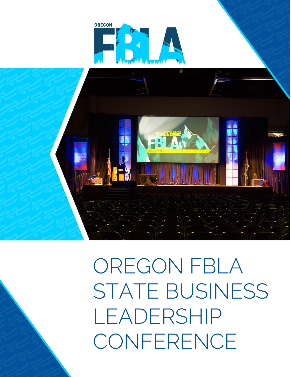

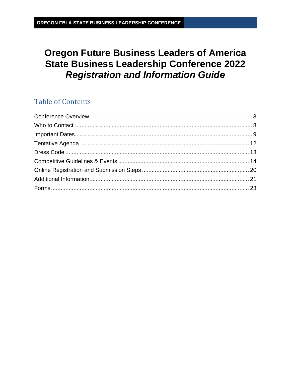# **Oregon Future Business Leaders of America State Business Leadership Conference 2022 Registration and Information Guide**

# **Table of Contents**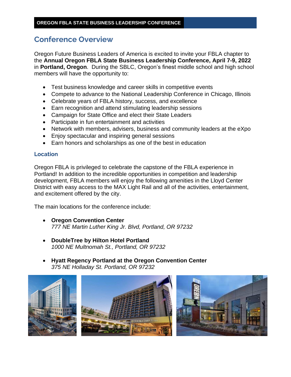# <span id="page-2-0"></span>**Conference Overview**

Oregon Future Business Leaders of America is excited to invite your FBLA chapter to the **Annual Oregon FBLA State Business Leadership Conference, April 7-9, 2022** in **Portland, Oregon**. During the SBLC, Oregon's finest middle school and high school members will have the opportunity to:

- Test business knowledge and career skills in competitive events
- Compete to advance to the National Leadership Conference in Chicago, Illinois
- Celebrate years of FBLA history, success, and excellence
- Earn recognition and attend stimulating leadership sessions
- Campaign for State Office and elect their State Leaders
- Participate in fun entertainment and activities
- Network with members, advisers, business and community leaders at the eXpo
- Enjoy spectacular and inspiring general sessions
- Earn honors and scholarships as one of the best in education

### **Location**

Oregon FBLA is privileged to celebrate the capstone of the FBLA experience in Portland! In addition to the incredible opportunities in competition and leadership development, FBLA members will enjoy the following amenities in the Lloyd Center District with easy access to the MAX Light Rail and all of the activities, entertainment, and excitement offered by the city.

The main locations for the conference include:

- **Oregon Convention Center** *777 NE Martin Luther King Jr. Blvd, Portland, OR 97232*
- **DoubleTree by Hilton Hotel Portland** *1000 NE Multnomah St., Portland, OR 97232*
- **Hyatt Regency Portland at the Oregon Convention Center** *375 NE Holladay St. Portland, OR 97232*

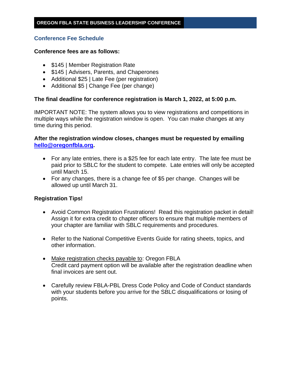## **Conference Fee Schedule**

### **Conference fees are as follows:**

- \$145 | Member Registration Rate
- \$145 | Advisers, Parents, and Chaperones
- Additional \$25 | Late Fee (per registration)
- Additional \$5 | Change Fee (per change)

### **The final deadline for conference registration is March 1, 2022, at 5:00 p.m.**

IMPORTANT NOTE: The system allows you to view registrations and competitions in multiple ways while the registration window is open. You can make changes at any time during this period.

## **After the registration window closes, changes must be requested by emailing [hello@oregonfbla.org.](mailto:hello@oregonfbla.org)**

- For any late entries, there is a \$25 fee for each late entry. The late fee must be paid prior to SBLC for the student to compete. Late entries will only be accepted until March 15.
- For any changes, there is a change fee of \$5 per change. Changes will be allowed up until March 31.

## **Registration Tips!**

- Avoid Common Registration Frustrations! Read this registration packet in detail! Assign it for extra credit to chapter officers to ensure that multiple members of your chapter are familiar with SBLC requirements and procedures.
- Refer to the National Competitive Events Guide for rating sheets, topics, and other information.
- Make registration checks payable to: Oregon FBLA Credit card payment option will be available after the registration deadline when final invoices are sent out.
- Carefully review FBLA-PBL Dress Code Policy and Code of Conduct standards with your students before you arrive for the SBLC disqualifications or losing of points.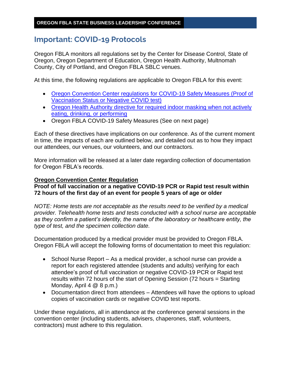# **Important: COVID-19 Protocols**

Oregon FBLA monitors all regulations set by the Center for Disease Control, State of Oregon, Oregon Department of Education, Oregon Health Authority, Multnomah County, City of Portland, and Oregon FBLA SBLC venues.

At this time, the following regulations are applicable to Oregon FBLA for this event:

- [Oregon Convention Center regulations for COVID-19 Safety Measures \(Proof of](https://www.oregoncc.org/en/venue-2020-coronavirus-covid-19-faq)  [Vaccination Status or Negative COVID test\)](https://www.oregoncc.org/en/venue-2020-coronavirus-covid-19-faq)
- Oregon Health Authority directive for required indoor masking when not actively [eating, drinking, or performing](https://secure.sos.state.or.us/oard/viewSingleRule.action?ruleVrsnRsn=283859)
- Oregon FBLA COVID-19 Safety Measures (See on next page)

Each of these directives have implications on our conference. As of the current moment in time, the impacts of each are outlined below, and detailed out as to how they impact our attendees, our venues, our volunteers, and our contractors.

More information will be released at a later date regarding collection of documentation for Oregon FBLA's records.

## **Oregon Convention Center Regulation**

**Proof of full vaccination or a negative COVID-19 PCR or Rapid test result within 72 hours of the first day of an event for people 5 years of age or older** 

*NOTE: Home tests are not acceptable as the results need to be verified by a medical provider. Telehealth home tests and tests conducted with a school nurse are acceptable as they confirm a patient's identity, the name of the laboratory or healthcare entity, the type of test, and the specimen collection date.* 

Documentation produced by a medical provider must be provided to Oregon FBLA. Oregon FBLA will accept the following forms of documentation to meet this regulation:

- School Nurse Report As a medical provider, a school nurse can provide a report for each registered attendee (students and adults) verifying for each attendee's proof of full vaccination or negative COVID-19 PCR or Rapid test results within 72 hours of the start of Opening Session (72 hours = Starting Monday, April 4 @ 8 p.m.)
- Documentation direct from attendees Attendees will have the options to upload copies of vaccination cards or negative COVID test reports.

Under these regulations, all in attendance at the conference general sessions in the convention center (including students, advisers, chaperones, staff, volunteers, contractors) must adhere to this regulation.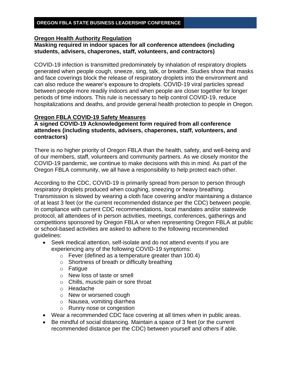### **Oregon Health Authority Regulation**

## **Masking required in indoor spaces for all conference attendees (including students, advisers, chaperones, staff, volunteers, and contractors)**

COVID-19 infection is transmitted predominately by inhalation of respiratory droplets generated when people cough, sneeze, sing, talk, or breathe. Studies show that masks and face coverings block the release of respiratory droplets into the environment and can also reduce the wearer's exposure to droplets. COVID-19 viral particles spread between people more readily indoors and when people are closer together for longer periods of time indoors. This rule is necessary to help control COVID-19, reduce hospitalizations and deaths, and provide general health protection to people in Oregon.

## **Oregon FBLA COVID-19 Safety Measures**

## **A signed COVID-19 Acknowledgement form required from all conference attendees (including students, advisers, chaperones, staff, volunteers, and contractors)**

There is no higher priority of Oregon FBLA than the health, safety, and well-being and of our members, staff, volunteers and community partners. As we closely monitor the COVID-19 pandemic, we continue to make decisions with this in mind. As part of the Oregon FBLA community, we all have a responsibility to help protect each other.

According to the CDC, COVID-19 is primarily spread from person to person through respiratory droplets produced when coughing, sneezing or heavy breathing. Transmission is slowed by wearing a cloth face covering and/or maintaining a distance of at least 3 feet (or the current recommended distance per the CDC) between people. In compliance with current CDC recommendations, local mandates and/or statewide protocol, all attendees of in person activities, meetings, conferences, gatherings and competitions sponsored by Oregon FBLA or when representing Oregon FBLA at public or school-based activities are asked to adhere to the following recommended guidelines:

- Seek medical attention, self-isolate and do not attend events if you are experiencing any of the following COVID-19 symptoms:
	- $\circ$  Fever (defined as a temperature greater than 100.4)
	- o Shortness of breath or difficulty breathing
	- o Fatigue
	- o New loss of taste or smell
	- o Chills, muscle pain or sore throat
	- o Headache
	- o New or worsened cough
	- o Nausea, vomiting diarrhea
	- o Runny nose or congestion
- Wear a recommended CDC face covering at all times when in public areas.
- Be mindful of social distancing. Maintain a space of 3 feet (or the current recommended distance per the CDC) between yourself and others if able.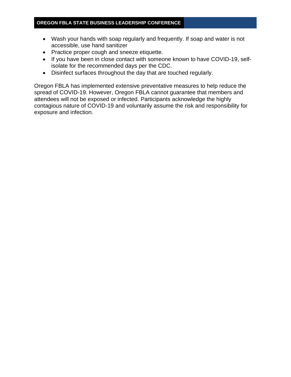- Wash your hands with soap regularly and frequently. If soap and water is not accessible, use hand sanitizer
- Practice proper cough and sneeze etiquette.
- If you have been in close contact with someone known to have COVID-19, selfisolate for the recommended days per the CDC.
- Disinfect surfaces throughout the day that are touched regularly.

Oregon FBLA has implemented extensive preventative measures to help reduce the spread of COVID-19. However, Oregon FBLA cannot guarantee that members and attendees will not be exposed or infected. Participants acknowledge the highly contagious nature of COVID-19 and voluntarily assume the risk and responsibility for exposure and infection.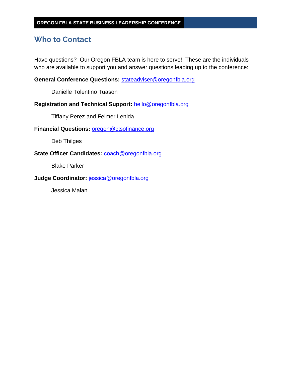# <span id="page-7-0"></span>**Who to Contact**

Have questions? Our Oregon FBLA team is here to serve! These are the individuals who are available to support you and answer questions leading up to the conference:

**General Conference Questions:** [stateadviser@oregonfbla.org](mailto:stateadviser@oregonfbla.org)

Danielle Tolentino Tuason

**Registration and Technical Support:** [hello@oregonfbla.org](mailto:hello@oregonfbla.org)

Tiffany Perez and Felmer Lenida

**Financial Questions:** [oregon@ctsofinance.org](mailto:oregon@ctsofinance.org)

Deb Thilges

**State Officer Candidates:** [coach@oregonfbla.org](mailto:coach@oregonfbla.org)

Blake Parker

**Judge Coordinator:** [jessica@oregonfbla.org](mailto:jessica@oregonfbla.org)

Jessica Malan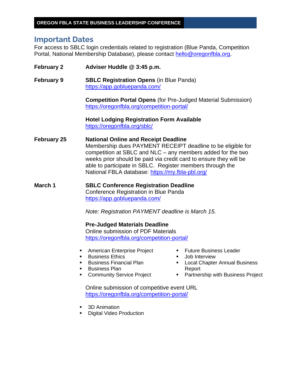# <span id="page-8-0"></span>**Important Dates**

For access to SBLC login credentials related to registration (Blue Panda, Competition Portal, National Membership Database), please contact [hello@oregonfbla.org.](mailto:hello@oregonfbla.org)

**February 2 Adviser Huddle @ 3:45 p.m. February 9 SBLC Registration Opens** (in Blue Panda) <https://app.gobluepanda.com/> **Competition Portal Opens** (for Pre-Judged Material Submission) <https://oregonfbla.org/competition-portal/> **Hotel Lodging Registration Form Available**  <https://oregonfbla.org/sblc/> **February 25 National Online and Receipt Deadline** Membership dues PAYMENT RECEIPT deadline to be eligible for competition at SBLC and NLC – any members added for the two weeks prior should be paid via credit card to ensure they will be able to participate in SBLC. Register members through the National FBLA database:<https://my.fbla-pbl.org/> **March 1 SBLC Conference Registration Deadline** Conference Registration in Blue Panda <https://app.gobluepanda.com/> *Note: Registration PAYMENT deadline is March 15.* **Pre-Judged Materials Deadline** Online submission of PDF Materials <https://oregonfbla.org/competition-portal/> **EXECUTE:** American Enterprise Project ■ Business Ethics ■ Business Financial Plan **•** Business Plan ■ Community Service Project **Euture Business Leader Job Interview** ■ Local Chapter Annual Business Report ■ Partnership with Business Project Online submission of competitive event URL <https://oregonfbla.org/competition-portal/> 3D Animation **Digital Video Production**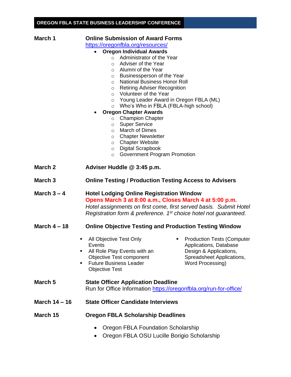| March 1              | <b>Online Submission of Award Forms</b><br>https://oregonfbla.org/resources/<br><b>Oregon Individual Awards</b><br>$\bullet$<br>Administrator of the Year<br>$\circ$<br>Adviser of the Year<br>O<br>Alumni of the Year<br>$\circ$<br>Businessperson of the Year<br>$\circ$<br><b>National Business Honor Roll</b><br>$\circ$<br><b>Retiring Adviser Recognition</b><br>$\circ$<br>Volunteer of the Year<br>$\circ$<br>O Young Leader Award in Oregon FBLA (ML) |
|----------------------|----------------------------------------------------------------------------------------------------------------------------------------------------------------------------------------------------------------------------------------------------------------------------------------------------------------------------------------------------------------------------------------------------------------------------------------------------------------|
|                      | Who's Who in FBLA (FBLA-high school)<br>$\circ$                                                                                                                                                                                                                                                                                                                                                                                                                |
|                      | <b>Oregon Chapter Awards</b><br><b>Champion Chapter</b><br>$\circ$<br><b>Super Service</b><br>$\circ$<br>March of Dimes<br>$\circ$<br><b>Chapter Newsletter</b><br>$\circ$<br><b>Chapter Website</b><br>$\circ$<br><b>Digital Scrapbook</b><br>$\circ$<br>Government Program Promotion<br>$\circ$                                                                                                                                                              |
| March 2              | Adviser Huddle @ 3:45 p.m.                                                                                                                                                                                                                                                                                                                                                                                                                                     |
| March <sub>3</sub>   | <b>Online Testing / Production Testing Access to Advisers</b>                                                                                                                                                                                                                                                                                                                                                                                                  |
| March $3 - 4$        | <b>Hotel Lodging Online Registration Window</b><br>Opens March 3 at 8:00 a.m., Closes March 4 at 5:00 p.m.<br>Hotel assignments on first come, first served basis. Submit Hotel<br>Registration form & preference. 1 <sup>st</sup> choice hotel not guaranteed.                                                                                                                                                                                                |
| March $4 - 18$       | <b>Online Objective Testing and Production Testing Window</b>                                                                                                                                                                                                                                                                                                                                                                                                  |
| ٠<br>٠               | All Objective Test Only<br><b>Production Tests (Computer</b><br>Events<br>Applications, Database<br>All Role Play Events with an<br>Design & Applications,<br><b>Objective Test component</b><br>Spreadsheet Applications,<br><b>Future Business Leader</b><br>Word Processing)<br><b>Objective Test</b>                                                                                                                                                       |
| March 5              | <b>State Officer Application Deadline</b><br>Run for Office Information https://oregonfbla.org/run-for-office/                                                                                                                                                                                                                                                                                                                                                 |
| <b>March 14 - 16</b> | <b>State Officer Candidate Interviews</b>                                                                                                                                                                                                                                                                                                                                                                                                                      |
| March 15             | <b>Oregon FBLA Scholarship Deadlines</b>                                                                                                                                                                                                                                                                                                                                                                                                                       |
|                      | Oregon FBLA Foundation Scholarship<br>$\bullet$<br>Oregon FBLA OSU Lucille Borigio Scholarship<br>$\bullet$                                                                                                                                                                                                                                                                                                                                                    |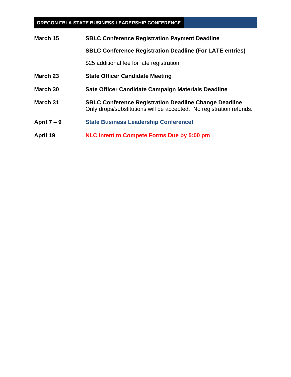| March 15      | <b>SBLC Conference Registration Payment Deadline</b>                                                                                |  |  |  |
|---------------|-------------------------------------------------------------------------------------------------------------------------------------|--|--|--|
|               | <b>SBLC Conference Registration Deadline (For LATE entries)</b>                                                                     |  |  |  |
|               | \$25 additional fee for late registration                                                                                           |  |  |  |
| March 23      | <b>State Officer Candidate Meeting</b>                                                                                              |  |  |  |
| March 30      | Sate Officer Candidate Campaign Materials Deadline                                                                                  |  |  |  |
| March 31      | <b>SBLC Conference Registration Deadline Change Deadline</b><br>Only drops/substitutions will be accepted. No registration refunds. |  |  |  |
| April $7 - 9$ | <b>State Business Leadership Conference!</b>                                                                                        |  |  |  |
| April 19      | NLC Intent to Compete Forms Due by 5:00 pm                                                                                          |  |  |  |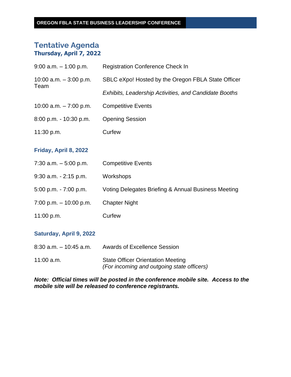# <span id="page-11-0"></span>**Tentative Agenda Thursday, April 7, 2022**

| $9:00$ a.m. $-1:00$ p.m.        | <b>Registration Conference Check In</b>                      |
|---------------------------------|--------------------------------------------------------------|
| 10:00 a.m. $-3:00$ p.m.<br>Team | SBLC eXpo! Hosted by the Oregon FBLA State Officer           |
|                                 | <b>Exhibits, Leadership Activities, and Candidate Booths</b> |
| 10:00 a.m. $-7:00$ p.m.         | <b>Competitive Events</b>                                    |
| $8:00$ p.m. $-10:30$ p.m.       | <b>Opening Session</b>                                       |
| 11:30 p.m.                      | Curfew                                                       |
|                                 |                                                              |

## **Friday, April 8, 2022**

| $7:30$ a.m. $-5:00$ p.m.  | <b>Competitive Events</b>                           |
|---------------------------|-----------------------------------------------------|
| $9:30$ a.m. $-2:15$ p.m.  | Workshops                                           |
| $5:00$ p.m. $-7:00$ p.m.  | Voting Delegates Briefing & Annual Business Meeting |
| $7:00$ p.m. $-10:00$ p.m. | <b>Chapter Night</b>                                |
| 11:00 p.m.                | Curfew                                              |

## **Saturday, April 9, 2022**

| 8:30 a.m. – 10:45 a.m. | <b>Awards of Excellence Session</b>                                                    |
|------------------------|----------------------------------------------------------------------------------------|
| $11:00$ a.m.           | <b>State Officer Orientation Meeting</b><br>(For incoming and outgoing state officers) |

## *Note: Official times will be posted in the conference mobile site. Access to the mobile site will be released to conference registrants.*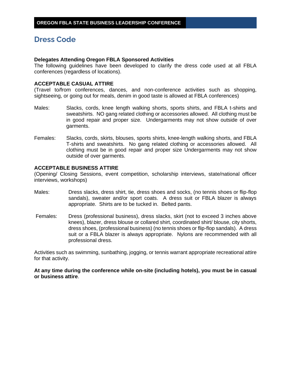# <span id="page-12-0"></span>**Dress Code**

#### **Delegates Attending Oregon FBLA Sponsored Activities**

The following guidelines have been developed to clarify the dress code used at all FBLA conferences (regardless of locations).

### **ACCEPTABLE CASUAL ATTIRE**

(Travel to/from conferences, dances, and non-conference activities such as shopping, sightseeing, or going out for meals, denim in good taste is allowed at FBLA conferences)

- Males: Slacks, cords, knee length walking shorts, sports shirts, and FBLA t-shirts and sweatshirts. NO gang related clothing or accessories allowed. All clothing must be in good repair and proper size. Undergarments may not show outside of over garments.
- Females: Slacks, cords, skirts, blouses, sports shirts, knee-length walking shorts, and FBLA T-shirts and sweatshirts. No gang related clothing or accessories allowed. All clothing must be in good repair and proper size Undergarments may not show outside of over garments.

### **ACCEPTABLE BUSINESS ATTIRE**

(Opening/ Closing Sessions, event competition, scholarship interviews, state/national officer interviews, workshops)

- Males: Dress slacks, dress shirt, tie, dress shoes and socks, (no tennis shoes or flip-flop sandals), sweater and/or sport coats. A dress suit or FBLA blazer is always appropriate. Shirts are to be tucked in. Belted pants.
- Females: Dress (professional business), dress slacks, skirt (not to exceed 3 inches above knees), blazer, dress blouse or collared shirt, coordinated shirt/ blouse, city shorts, dress shoes, (professional business) (no tennis shoes or flip-flop sandals). A dress suit or a FBLA blazer is always appropriate. Nylons are recommended with all professional dress.

Activities such as swimming, sunbathing, jogging, or tennis warrant appropriate recreational attire for that activity.

**At any time during the conference while on-site (including hotels), you must be in casual or business attire**.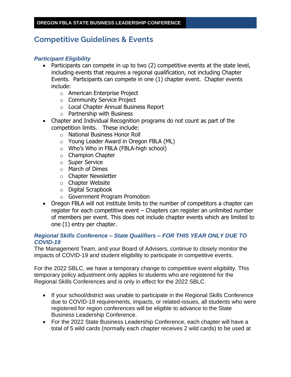# <span id="page-13-0"></span>**Competitive Guidelines & Events**

## *Participant Eligibility*

- Participants can compete in up to two (2) competitive events at the state level, including events that requires a regional qualification, not including Chapter Events. Participants can compete in one (1) chapter event. Chapter events include:
	- o American Enterprise Project
	- o Community Service Project
	- o Local Chapter Annual Business Report
	- o Partnership with Business
- Chapter and Individual Recognition programs do not count as part of the competition limits. These include:
	- o National Business Honor Roll
	- o Young Leader Award in Oregon FBLA (ML)
	- o Who's Who in FBLA (FBLA-high school)
	- o Champion Chapter
	- o Super Service
	- o March of Dimes
	- o Chapter Newsletter
	- o Chapter Website
	- o Digital Scrapbook
	- o Government Program Promotion
- Oregon FBLA will not institute limits to the number of competitors a chapter can register for each competitive event – Chapters can register an unlimited number of members per event. This does not include chapter events which are limited to one (1) entry per chapter.

## *Regional Skills Conference – State Qualifiers – FOR THIS YEAR ONLY DUE TO COVID-19*

The Management Team, and your Board of Advisers, continue to closely monitor the impacts of COVID-19 and student eligibility to participate in competitive events.

For the 2022 SBLC, we have a temporary change to competitive event eligibility. This temporary policy adjustment only applies to students who are registered for the Regional Skills Conferences and is only in effect for the 2022 SBLC.

- If your school/district was unable to participate in the Regional Skills Conference due to COVID-19 requirements, impacts, or related-issues, all students who were registered for region conferences will be eligible to advance to the State Business Leadership Conference.
- For the 2022 State Business Leadership Conference, each chapter will have a total of 5 wild cards (normally each chapter receives 2 wild cards) to be used at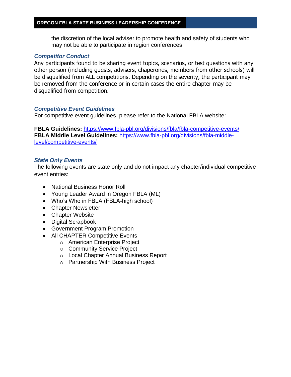the discretion of the local adviser to promote health and safety of students who may not be able to participate in region conferences.

### *Competitor Conduct*

Any participants found to be sharing event topics, scenarios, or test questions with any other person (including guests, advisers, chaperones, members from other schools) will be disqualified from ALL competitions. Depending on the severity, the participant may be removed from the conference or in certain cases the entire chapter may be disqualified from competition.

### *Competitive Event Guidelines*

For competitive event guidelines, please refer to the National FBLA website:

**FBLA Guidelines:** <https://www.fbla-pbl.org/divisions/fbla/fbla-competitive-events/> **FBLA Middle Level Guidelines:** [https://www.fbla-pbl.org/divisions/fbla-middle](https://www.fbla-pbl.org/divisions/fbla-middle-level/competitive-events/)[level/competitive-events/](https://www.fbla-pbl.org/divisions/fbla-middle-level/competitive-events/)

### *State Only Events*

The following events are state only and do not impact any chapter/individual competitive event entries:

- National Business Honor Roll
- Young Leader Award in Oregon FBLA (ML)
- Who's Who in FBLA (FBLA-high school)
- Chapter Newsletter
- Chapter Website
- Digital Scrapbook
- Government Program Promotion
- All CHAPTER Competitive Events
	- o American Enterprise Project
	- o Community Service Project
	- o Local Chapter Annual Business Report
	- o Partnership With Business Project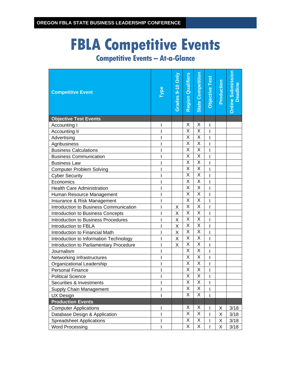# **FBLA Competitive Events**

| <b>Competitive Event</b>                |              | Grades 9-10 Only | <b>Region Qualifiers</b> | <b>State Competition</b> | Objective Test | Production | <b>Online Submission</b><br><b>Deadline</b> |
|-----------------------------------------|--------------|------------------|--------------------------|--------------------------|----------------|------------|---------------------------------------------|
| <b>Objective Test Events</b>            |              |                  |                          |                          |                |            |                                             |
| Accounting I                            |              |                  | X                        | Χ                        | I              |            |                                             |
| Accounting II                           | T            |                  | X                        | Χ                        | I              |            |                                             |
| Advertising                             | I            |                  | X                        | X                        | I              |            |                                             |
| Agribusiness                            |              |                  | X                        | X                        | I              |            |                                             |
| <b>Business Calculations</b>            |              |                  | $\overline{\mathsf{x}}$  | $\overline{\mathsf{x}}$  | ı              |            |                                             |
| <b>Business Communication</b>           |              |                  | X                        | X                        |                |            |                                             |
| <b>Business Law</b>                     | I            |                  | X                        | Χ                        | I              |            |                                             |
| <b>Computer Problem Solving</b>         | I            |                  | $\overline{\mathsf{x}}$  | X                        | I              |            |                                             |
| <b>Cyber Security</b>                   |              |                  | X                        | X                        | $\overline{1}$ |            |                                             |
| Economics                               |              |                  | Χ                        | Χ                        | I              |            |                                             |
| <b>Health Care Administration</b>       |              |                  | Χ                        | Χ                        |                |            |                                             |
| Human Resource Management               | T            |                  | X                        | X                        | I              |            |                                             |
| Insurance & Risk Management             | ı            |                  | X                        | Χ                        | I              |            |                                             |
| Introduction to Business Communication  | I            | X                | Χ                        | Χ                        | I              |            |                                             |
| Introduction to Business Concepts       | I            | X                | Χ                        | Χ                        | I              |            |                                             |
| Introduction to Business Procedures     | I            | X                | Χ                        | Χ                        |                |            |                                             |
| Introduction to FBLA                    | ı            | X                | X                        | X                        | I              |            |                                             |
| Introduction to Financial Math          |              | X                | $\overline{\mathsf{x}}$  | $\overline{\mathsf{x}}$  | I              |            |                                             |
| Introduction to Information Technology  |              | X                | X                        | Χ                        | I              |            |                                             |
| Introduction to Parliamentary Procedure | I            | X                | Χ                        | Χ                        | I              |            |                                             |
| Journalism                              | $\mathsf{I}$ |                  | Χ                        | Χ                        | I              |            |                                             |
| Networking Infrastructures              | I            |                  | X                        | X                        | I              |            |                                             |
| Organizational Leadership               |              |                  | X                        | X                        |                |            |                                             |
| <b>Personal Finance</b>                 |              |                  | X                        | X                        | I              |            |                                             |
| <b>Political Science</b>                |              |                  | X                        | Χ                        |                |            |                                             |
| Securities & Investments                | I            |                  | Χ                        | X                        | л.             |            |                                             |
| Supply Chain Management                 | ı            |                  | Χ                        | X                        | I              |            |                                             |
| <b>UX Design</b>                        | T            |                  | X                        | X                        |                |            |                                             |
| <b>Production Events</b>                |              |                  |                          |                          |                |            |                                             |
| <b>Computer Applications</b>            | I            |                  | X                        | Χ                        |                | Χ          | 3/18                                        |
| Database Design & Application           | I            |                  | X                        | Χ                        | I              | Χ          | 3/18                                        |
| <b>Spreadsheet Applications</b>         | T            |                  | Χ                        | Χ                        | I              | Χ          | 3/18                                        |
| <b>Word Processing</b>                  | $\mathbf{I}$ |                  | X                        | X                        | Ī              | X          | 3/18                                        |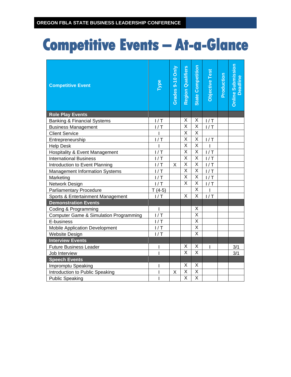| <b>Competitive Event</b>                          | Type           | Grades 9-10 Only | <b>Region Qualifiers</b> | <b>State Competition</b> | Objective Test | Production | <b>Online Submission</b><br>Deadline |
|---------------------------------------------------|----------------|------------------|--------------------------|--------------------------|----------------|------------|--------------------------------------|
| <b>Role Play Events</b>                           |                |                  |                          |                          |                |            |                                      |
| <b>Banking &amp; Financial Systems</b>            | 1/T            |                  | X                        | X                        | 1/T            |            |                                      |
| <b>Business Management</b>                        | 1/T            |                  | $\overline{X}$           | X                        | 1/T            |            |                                      |
| <b>Client Service</b>                             | $\overline{1}$ |                  | $\overline{X}$           | $\overline{\mathsf{x}}$  |                |            |                                      |
| Entrepreneurship                                  | 1/T            |                  | X                        | X                        | 1/T            |            |                                      |
| <b>Help Desk</b>                                  | I              |                  | $\overline{\mathsf{x}}$  | $\overline{\mathsf{x}}$  |                |            |                                      |
| Hospitality & Event Management                    | 1/T            |                  | $\overline{\mathsf{x}}$  | $\overline{\mathsf{X}}$  | 1/T            |            |                                      |
| <b>International Business</b>                     | 1/T            |                  | X                        | Χ                        | 1/T            |            |                                      |
| Introduction to Event Planning                    | 1/T            | X                | X                        | X                        | 1/T            |            |                                      |
| <b>Management Information Systems</b>             | 1/T            |                  | $\overline{\mathsf{x}}$  | $\overline{\mathsf{X}}$  | 1/T            |            |                                      |
| Marketing                                         | 1/T            |                  | X                        | X                        | 1/T            |            |                                      |
| Network Design                                    | 1/T            |                  | $\overline{X}$           | $\overline{\mathsf{X}}$  | 1/T            |            |                                      |
| <b>Parliamentary Procedure</b>                    | $T(4-5)$       |                  |                          | X                        |                |            |                                      |
| Sports & Entertainment Management                 | 1/T            |                  | $\times$                 | $\overline{\mathsf{x}}$  | 1/T            |            |                                      |
| <b>Demonstration Events</b>                       |                |                  |                          |                          |                |            |                                      |
| Coding & Programming                              | $\overline{1}$ |                  |                          | X                        |                |            |                                      |
| <b>Computer Game &amp; Simulation Programming</b> | 1/T            |                  |                          | X                        |                |            |                                      |
| E-business                                        | 1/T            |                  |                          | $\overline{\mathsf{x}}$  |                |            |                                      |
| <b>Mobile Application Development</b>             | 1/T            |                  |                          | $\overline{\mathsf{x}}$  |                |            |                                      |
| Website Design                                    | 1/T            |                  |                          | $\overline{\mathsf{x}}$  |                |            |                                      |
| <b>Interview Events</b>                           |                |                  |                          |                          |                |            |                                      |
| <b>Future Business Leader</b>                     | I              |                  | X                        | $\overline{X}$           | T              |            | 3/1                                  |
| Job Interview                                     | T              |                  | $\overline{\mathsf{x}}$  | $\overline{\mathsf{x}}$  |                |            | 3/1                                  |
| <b>Speech Events</b>                              |                |                  |                          |                          |                |            |                                      |
| Impromptu Speaking                                | I              |                  | X                        | X                        |                |            |                                      |
| Introduction to Public Speaking                   | I              | X                | Χ                        | X                        |                |            |                                      |
| <b>Public Speaking</b>                            | T              |                  | $\overline{X}$           | $\overline{X}$           |                |            |                                      |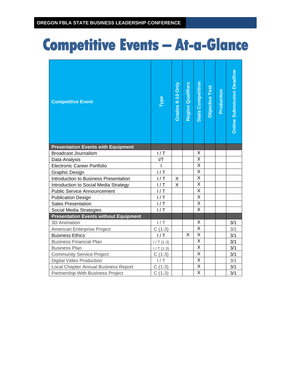| <b>Competitive Event</b>                     | Type           | Grades 9-10 Only | <b>Region Qualifiers</b> | <b>State Competition</b> | Objective Test | Production | <b>Online Submission Deadline</b> |
|----------------------------------------------|----------------|------------------|--------------------------|--------------------------|----------------|------------|-----------------------------------|
| <b>Presentation Events with Equipment</b>    |                |                  |                          |                          |                |            |                                   |
| <b>Broadcast Journalism</b>                  | 1/T            |                  |                          | X                        |                |            |                                   |
| Data Analysis                                | I/T            |                  |                          | X                        |                |            |                                   |
| <b>Electronic Career Portfolio</b>           | $\overline{1}$ |                  |                          | X                        |                |            |                                   |
| Graphic Design                               | 1/T            |                  |                          | $\overline{\mathsf{x}}$  |                |            |                                   |
| Introduction to Business Presentation        | 1/T            | Χ                |                          | X                        |                |            |                                   |
| Introduction to Social Media Strategy        | 1/T            | X                |                          | $\overline{\mathsf{x}}$  |                |            |                                   |
| <b>Public Service Announcement</b>           | 1/T            |                  |                          | $\overline{\mathsf{x}}$  |                |            |                                   |
| <b>Publication Design</b>                    | 1/T            |                  |                          | $\overline{\mathsf{X}}$  |                |            |                                   |
| <b>Sales Presentation</b>                    | 1/T            |                  |                          | X                        |                |            |                                   |
| Social Media Strategies                      | 1/T            |                  |                          | $\overline{\mathsf{x}}$  |                |            |                                   |
| <b>Presentation Events without Equipment</b> |                |                  |                          |                          |                |            |                                   |
| <b>3D Animation</b>                          | 1/T            |                  |                          | X                        |                |            | 3/1                               |
| American Enterprise Project                  | $C(1-3)$       |                  |                          | $\overline{X}$           |                |            | 3/1                               |
| <b>Business Ethics</b>                       | 1/T            |                  | X                        | Χ                        |                |            | 3/1                               |
| <b>Business Financial Plan</b>               | $1/T(1-3)$     |                  |                          | X                        |                |            | 3/1                               |
| <b>Business Plan</b>                         | $1/T(1-3)$     |                  |                          | $\overline{\mathsf{x}}$  |                |            | 3/1                               |
| <b>Community Service Project</b>             | $C(1-3)$       |                  |                          | X                        |                |            | 3/1                               |
| <b>Digital Video Production</b>              | 1/T            |                  |                          | X                        |                |            | 3/1                               |
| Local Chapter Annual Business Report         | $C(1-3)$       |                  |                          | $\overline{\mathsf{x}}$  |                |            | 3/1                               |
| Partnership With Business Project            | $C(1-3)$       |                  |                          | Χ                        |                |            | 3/1                               |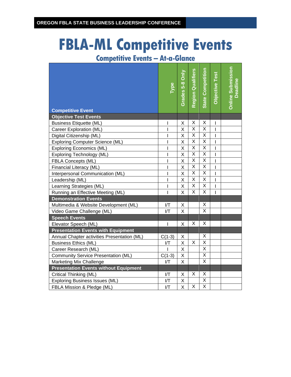# **FBLA-ML Competitive Events**

| <b>Competitive Event</b>                     | Type           | Grades 5-8 Only         | <b>Region Qualifiers</b> | <b>State Competition</b> | Objective Test | <b>Online Submission</b><br>Deadline |
|----------------------------------------------|----------------|-------------------------|--------------------------|--------------------------|----------------|--------------------------------------|
| <b>Objective Test Events</b>                 |                |                         |                          |                          |                |                                      |
| <b>Business Etiquette (ML)</b>               | I              | Χ                       | Χ                        | Χ                        | I              |                                      |
| Career Exploration (ML)                      | I              | X                       | Χ                        | X                        | I              |                                      |
| Digital Citizenship (ML)                     | I              | X                       | X                        | X                        | I              |                                      |
| <b>Exploring Computer Science (ML)</b>       | T              | $\sf X$                 | $\overline{\mathsf{x}}$  | $\overline{\mathsf{x}}$  | I              |                                      |
| <b>Exploring Economics (ML)</b>              | $\overline{1}$ | $\overline{\mathsf{X}}$ | $\overline{\mathsf{x}}$  | $\overline{\mathsf{x}}$  | $\overline{1}$ |                                      |
| Exploring Technology (ML)                    | $\overline{1}$ | $\overline{\mathsf{X}}$ | $\overline{\mathsf{x}}$  | $\overline{\mathsf{X}}$  | Ī              |                                      |
| FBLA Concepts (ML)                           | I              | X                       | X                        | X                        | $\mathbf{I}$   |                                      |
| Financial Literacy (ML)                      | I              | X                       | $\overline{\mathsf{x}}$  | $\overline{\mathsf{x}}$  | $\mathbf{I}$   |                                      |
| Interpersonal Communication (ML)             | I              | $\sf X$                 | $\overline{\mathsf{x}}$  | $\overline{\mathsf{x}}$  | I              |                                      |
| Leadership (ML)                              | I              | Χ                       | Χ                        | X                        | I              |                                      |
| Learning Strategies (ML)                     | I              | X                       | X                        | $\overline{\mathsf{x}}$  | I              |                                      |
| Running an Effective Meeting (ML)            | $\mathsf I$    | X                       | X                        | X                        | I              |                                      |
| <b>Demonstration Events</b>                  |                |                         |                          |                          |                |                                      |
| Multimedia & Website Development (ML)        | I/T            | Χ                       |                          | Χ                        |                |                                      |
| Video Game Challenge (ML)                    | I/T            | X                       |                          | X                        |                |                                      |
| <b>Speech Events</b>                         |                |                         |                          |                          |                |                                      |
| Elevator Speech (ML)                         | I              | X                       | X                        | $\overline{\mathsf{x}}$  |                |                                      |
| <b>Presentation Events with Equipment</b>    |                |                         |                          |                          |                |                                      |
| Annual Chapter activities Presentation (ML)  | $C(1-3)$       | X                       |                          | X                        |                |                                      |
| <b>Business Ethics (ML)</b>                  | I/T            | X                       | X                        | $\overline{\mathsf{x}}$  |                |                                      |
| Career Research (ML)                         |                | Χ                       |                          | $\overline{\mathsf{x}}$  |                |                                      |
| <b>Community Service Presentation (ML)</b>   | $C(1-3)$       | Χ                       |                          | X                        |                |                                      |
| Marketing Mix Challenge                      | I/T            | X                       |                          | $\overline{\mathsf{x}}$  |                |                                      |
| <b>Presentation Events without Equipment</b> |                |                         |                          |                          |                |                                      |
| Critical Thinking (ML)                       | I/T            | X                       | X                        | Χ                        |                |                                      |
| <b>Exploring Business Issues (ML)</b>        | I/T            | Χ                       |                          | Χ                        |                |                                      |
| FBLA Mission & Pledge (ML)                   | I/T            | $\overline{\mathsf{X}}$ | X                        | $\overline{\mathsf{x}}$  |                |                                      |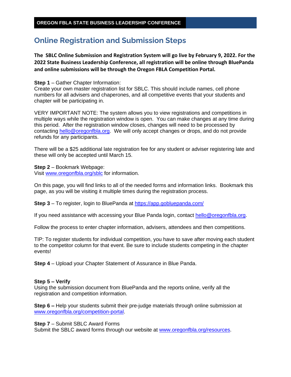# <span id="page-19-0"></span>**Online Registration and Submission Steps**

**The SBLC Online Submission and Registration System will go live by February 9, 2022. For the 2022 State Business Leadership Conference, all registration will be online through BluePanda and online submissions will be through the Oregon FBLA Competition Portal.** 

### **Step 1** – Gather Chapter Information:

Create your own master registration list for SBLC. This should include names, cell phone numbers for all advisers and chaperones, and all competitive events that your students and chapter will be participating in.

VERY IMPORTANT NOTE: The system allows you to view registrations and competitions in multiple ways while the registration window is open. You can make changes at any time during this period. After the registration window closes, changes will need to be processed by contacting [hello@oregonfbla.org.](mailto:hello@oregonfbla.org) We will only accept changes or drops, and do not provide refunds for any participants.

There will be a \$25 additional late registration fee for any student or adviser registering late and these will only be accepted until March 15.

**Step 2** – Bookmark Webpage: Visit [www.oregonfbla.org/sblc](http://www.oregonfbla.org/sblc) for information.

On this page, you will find links to all of the needed forms and information links. Bookmark this page, as you will be visiting it multiple times during the registration process.

**Step 3** – To register, login to BluePanda at<https://app.gobluepanda.com/>

If you need assistance with accessing your Blue Panda login, contact [hello@oregonfbla.org.](mailto:hello@oregonfbla.org)

Follow the process to enter chapter information, advisers, attendees and then competitions.

TIP: To register students for individual competition, you have to save after moving each student to the competitor column for that event. Be sure to include students competing in the chapter events!

**Step 4** – Upload your Chapter Statement of Assurance in Blue Panda.

### **Step 5 – Verify**

Using the submission document from BluePanda and the reports online, verify all the registration and competition information.

**Step 6 –** Help your students submit their pre-judge materials through online submission at [www.oregonfbla.org/competition-portal.](http://www.oregonfbla.org/competition-portal)

**Step 7** – Submit SBLC Award Forms

Submit the SBLC award forms through our website at [www.oregonfbla.org/resources.](http://www.oregonfbla.org/resources)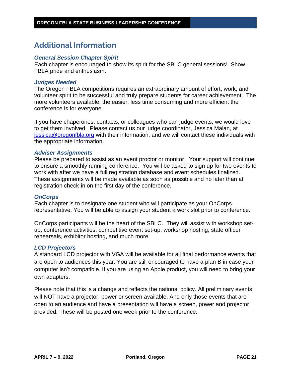# <span id="page-20-0"></span>**Additional Information**

### *General Session Chapter Spirit*

Each chapter is encouraged to show its spirit for the SBLC general sessions! Show FBLA pride and enthusiasm.

### *Judges Needed*

The Oregon FBLA competitions requires an extraordinary amount of effort, work, and volunteer spirit to be successful and truly prepare students for career achievement. The more volunteers available, the easier, less time consuming and more efficient the conference is for everyone.

If you have chaperones, contacts, or colleagues who can judge events, we would love to get them involved. Please contact us our judge coordinator, Jessica Malan, at [jessica@oregonfbla.org](mailto:jessica@oregonfbla.org) with their information, and we will contact these individuals with the appropriate information.

### *Adviser Assignments*

Please be prepared to assist as an event proctor or monitor. Your support will continue to ensure a smoothly running conference. You will be asked to sign up for two events to work with after we have a full registration database and event schedules finalized. These assignments will be made available as soon as possible and no later than at registration check-in on the first day of the conference.

### *OnCorps*

Each chapter is to designate one student who will participate as your OnCorps representative. You will be able to assign your student a work slot prior to conference.

OnCorps participants will be the heart of the SBLC. They will assist with workshop setup, conference activities, competitive event set-up, workshop hosting, state officer rehearsals, exhibitor hosting, and much more.

### *LCD Projectors*

A standard LCD projector with VGA will be available for all final performance events that are open to audiences this year. You are still encouraged to have a plan B in case your computer isn't compatible. If you are using an Apple product, you will need to bring your own adapters.

Please note that this is a change and reflects the national policy. All preliminary events will NOT have a projector, power or screen available. And only those events that are open to an audience and have a presentation will have a screen, power and projector provided. These will be posted one week prior to the conference.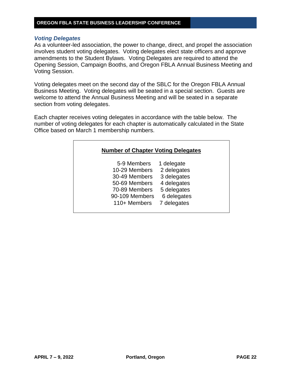### *Voting Delegates*

As a volunteer-led association, the power to change, direct, and propel the association involves student voting delegates. Voting delegates elect state officers and approve amendments to the Student Bylaws. Voting Delegates are required to attend the Opening Session, Campaign Booths, and Oregon FBLA Annual Business Meeting and Voting Session.

Voting delegates meet on the second day of the SBLC for the Oregon FBLA Annual Business Meeting. Voting delegates will be seated in a special section. Guests are welcome to attend the Annual Business Meeting and will be seated in a separate section from voting delegates.

Each chapter receives voting delegates in accordance with the table below. The number of voting delegates for each chapter is automatically calculated in the State Office based on March 1 membership numbers.

| <b>Number of Chapter Voting Delegates</b> |             |
|-------------------------------------------|-------------|
| 5-9 Members                               | 1 delegate  |
| 10-29 Members                             | 2 delegates |
| 30-49 Members                             | 3 delegates |
| 50-69 Members                             | 4 delegates |
| 70-89 Members                             | 5 delegates |
| 90-109 Members                            | 6 delegates |
| 110+ Members                              | 7 delegates |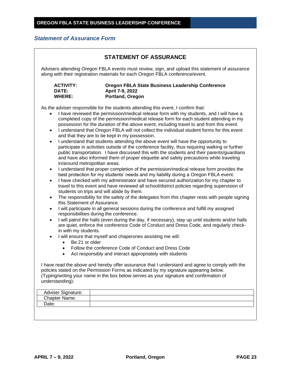## <span id="page-22-0"></span>*Statement of Assurance Form*

|                                                                                                                                                                                                                                                              | Advisers attending Oregon FBLA events must review, sign, and upload this statement of assurance<br>along with their registration materials for each Oregon FBLA conference/event.                                                                                                                                                                                                                                                                                                                                                                                                                                                                                                                                                                                                                                                                                                                                                                                                                                                                                                                                                                                                                                                                                                                                                                                                                                                                                                                                                                                                                                                                                                                                                                                                                                                                                                                                                                                                                                                                                                                                                                                                                                                           |
|--------------------------------------------------------------------------------------------------------------------------------------------------------------------------------------------------------------------------------------------------------------|---------------------------------------------------------------------------------------------------------------------------------------------------------------------------------------------------------------------------------------------------------------------------------------------------------------------------------------------------------------------------------------------------------------------------------------------------------------------------------------------------------------------------------------------------------------------------------------------------------------------------------------------------------------------------------------------------------------------------------------------------------------------------------------------------------------------------------------------------------------------------------------------------------------------------------------------------------------------------------------------------------------------------------------------------------------------------------------------------------------------------------------------------------------------------------------------------------------------------------------------------------------------------------------------------------------------------------------------------------------------------------------------------------------------------------------------------------------------------------------------------------------------------------------------------------------------------------------------------------------------------------------------------------------------------------------------------------------------------------------------------------------------------------------------------------------------------------------------------------------------------------------------------------------------------------------------------------------------------------------------------------------------------------------------------------------------------------------------------------------------------------------------------------------------------------------------------------------------------------------------|
| <b>ACTIVITY:</b><br><b>DATE:</b><br><b>WHERE:</b>                                                                                                                                                                                                            | Oregon FBLA State Business Leadership Conference<br>April 7-9, 2022<br>Portland, Oregon                                                                                                                                                                                                                                                                                                                                                                                                                                                                                                                                                                                                                                                                                                                                                                                                                                                                                                                                                                                                                                                                                                                                                                                                                                                                                                                                                                                                                                                                                                                                                                                                                                                                                                                                                                                                                                                                                                                                                                                                                                                                                                                                                     |
| $\bullet$<br>$\bullet$<br>in/around metropolitan areas.<br>$\bullet$<br>$\bullet$<br>$\bullet$<br>this Statement of Assurance.<br>$\bullet$<br>$\bullet$<br>in with my students.<br>$\bullet$<br>Be 21 or older<br>$\bullet$<br>$\bullet$<br>understanding): | As the adviser responsible for the students attending this event, I confirm that:<br>I have reviewed the permission/medical release form with my students, and I will have a<br>completed copy of the permission/medical release form for each student attending in my<br>possession for the duration of the above event, including travel to and from this event.<br>I understand that Oregon FBLA will not collect the individual student forms for this event<br>and that they are to be kept in my possession.<br>I understand that students attending the above event will have the opportunity to<br>participate in activities outside of the conference facility, thus requiring walking or further<br>public transportation. I have discussed this with the students and their parents/guardians<br>and have also informed them of proper etiquette and safety precautions while traveling<br>I understand that proper completion of the permission/medical release form provides the<br>best protection for my students' needs and my liability during a Oregon FBLA event.<br>I have checked with my administrator and have secured authorization for my chapter to<br>travel to this event and have reviewed all school/district policies regarding supervision of<br>students on trips and will abide by them.<br>The responsibility for the safety of the delegates from this chapter rests with people signing<br>I will participate in all general sessions during the conference and fulfill my assigned<br>responsibilities during the conference.<br>I will patrol the halls (even during the day, if necessary), stay up until students and/or halls<br>are quiet, enforce the conference Code of Conduct and Dress Code, and regularly check-<br>I will ensure that myself and chaperones assisting me will:<br>Follow the conference Code of Conduct and Dress Code<br>Act responsibly and interact appropriately with students<br>I have read the above and hereby offer assurance that I understand and agree to comply with the<br>policies stated on the Permission Forms as indicated by my signature appearing below.<br>(Typing/writing your name in the box below serves as your signature and confirmation of |
| Adviser Signature:                                                                                                                                                                                                                                           |                                                                                                                                                                                                                                                                                                                                                                                                                                                                                                                                                                                                                                                                                                                                                                                                                                                                                                                                                                                                                                                                                                                                                                                                                                                                                                                                                                                                                                                                                                                                                                                                                                                                                                                                                                                                                                                                                                                                                                                                                                                                                                                                                                                                                                             |
| Chapter Name:                                                                                                                                                                                                                                                |                                                                                                                                                                                                                                                                                                                                                                                                                                                                                                                                                                                                                                                                                                                                                                                                                                                                                                                                                                                                                                                                                                                                                                                                                                                                                                                                                                                                                                                                                                                                                                                                                                                                                                                                                                                                                                                                                                                                                                                                                                                                                                                                                                                                                                             |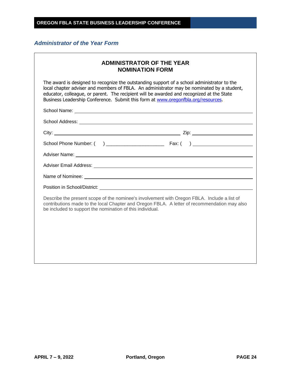## *Administrator of the Year Form*

 $\Gamma$ 

|                                                                                   | <b>ADMINISTRATOR OF THE YEAR</b><br><b>NOMINATION FORM</b>                                                                                                                                                                                                                             |
|-----------------------------------------------------------------------------------|----------------------------------------------------------------------------------------------------------------------------------------------------------------------------------------------------------------------------------------------------------------------------------------|
| Business Leadership Conference. Submit this form at www.oregonfbla.org/resources. | The award is designed to recognize the outstanding support of a school administrator to the<br>local chapter adviser and members of FBLA. An administrator may be nominated by a student,<br>educator, colleague, or parent. The recipient will be awarded and recognized at the State |
|                                                                                   |                                                                                                                                                                                                                                                                                        |
|                                                                                   |                                                                                                                                                                                                                                                                                        |
|                                                                                   |                                                                                                                                                                                                                                                                                        |
|                                                                                   |                                                                                                                                                                                                                                                                                        |
|                                                                                   |                                                                                                                                                                                                                                                                                        |
|                                                                                   |                                                                                                                                                                                                                                                                                        |
|                                                                                   | Name of Nominee: <u>example and the set of the set of the set of the set of the set of the set of the set of the set of the set of the set of the set of the set of the set of the set of the set of the set of the set of the s</u>                                                   |
|                                                                                   |                                                                                                                                                                                                                                                                                        |
| be included to support the nomination of this individual.                         | Describe the present scope of the nominee's involvement with Oregon FBLA. Include a list of<br>contributions made to the local Chapter and Oregon FBLA. A letter of recommendation may also                                                                                            |
|                                                                                   |                                                                                                                                                                                                                                                                                        |
|                                                                                   |                                                                                                                                                                                                                                                                                        |
|                                                                                   |                                                                                                                                                                                                                                                                                        |

٦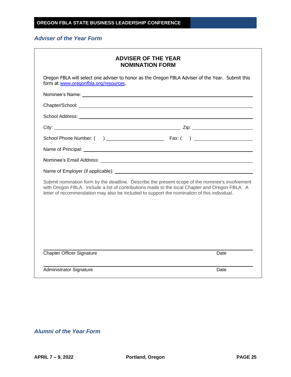### *Adviser of the Year Form*

| <b>ADVISER OF THE YEAR</b><br><b>NOMINATION FORM</b>                                                                                                                                                                                                                                             |      |
|--------------------------------------------------------------------------------------------------------------------------------------------------------------------------------------------------------------------------------------------------------------------------------------------------|------|
| Oregon FBLA will select one adviser to honor as the Oregon FBLA Adviser of the Year. Submit this<br>form at www.oregonfbla.org/resources.                                                                                                                                                        |      |
|                                                                                                                                                                                                                                                                                                  |      |
|                                                                                                                                                                                                                                                                                                  |      |
|                                                                                                                                                                                                                                                                                                  |      |
|                                                                                                                                                                                                                                                                                                  |      |
|                                                                                                                                                                                                                                                                                                  |      |
|                                                                                                                                                                                                                                                                                                  |      |
|                                                                                                                                                                                                                                                                                                  |      |
|                                                                                                                                                                                                                                                                                                  |      |
| Submit nomination form by the deadline. Describe the present scope of the nominee's involvement<br>with Oregon FBLA. Include a list of contributions made to the local Chapter and Oregon FBLA. A<br>letter of recommendation may also be included to support the nomination of this individual. |      |
|                                                                                                                                                                                                                                                                                                  |      |
| <b>Chapter Officer Signature</b>                                                                                                                                                                                                                                                                 | Date |
| <b>Administrator Signature</b>                                                                                                                                                                                                                                                                   | Date |

*Alumni of the Year Form*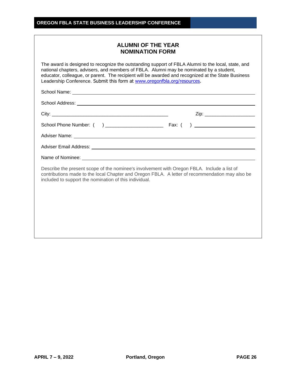| <b>ALUMNI OF THE YEAR</b> |  |  |
|---------------------------|--|--|
| <b>NOMINATION FORM</b>    |  |  |

The award is designed to recognize the outstanding support of FBLA Alumni to the local, state, and national chapters, advisers, and members of FBLA. Alumni may be nominated by a student, educator, colleague, or parent. The recipient will be awarded and recognized at the State Business Leadership Conference. Submit this form at [www.oregonfbla.org/resources.](http://www.oregonfbla.org/resources)

School Name:

School Address: **Example 2018** 

|                                                                                                                                                                                                                                                          | Zip: ________________________ |
|----------------------------------------------------------------------------------------------------------------------------------------------------------------------------------------------------------------------------------------------------------|-------------------------------|
|                                                                                                                                                                                                                                                          |                               |
| Adviser Name: <u>Quality and Communications</u> and Communications and Communications and Communications and Communications and Communications and Communications and Communications and Communications and Communications and Comm                      |                               |
|                                                                                                                                                                                                                                                          |                               |
|                                                                                                                                                                                                                                                          |                               |
| Describe the present scope of the nominee's involvement with Oregon FBLA. Include a list of<br>contributions made to the local Chapter and Oregon FBLA. A letter of recommendation may also be<br>included to support the nomination of this individual. |                               |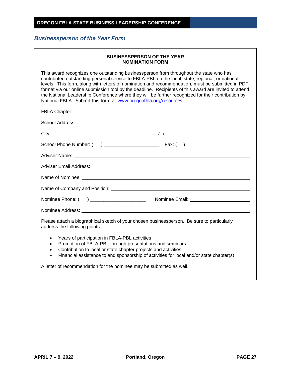# *Businessperson of the Year Form*

| <b>BUSINESSPERSON OF THE YEAR</b><br><b>NOMINATION FORM</b>                                                                                                                                                                                                                                                                                                                                                                                                                                                                                                                      |  |  |
|----------------------------------------------------------------------------------------------------------------------------------------------------------------------------------------------------------------------------------------------------------------------------------------------------------------------------------------------------------------------------------------------------------------------------------------------------------------------------------------------------------------------------------------------------------------------------------|--|--|
| This award recognizes one outstanding businessperson from throughout the state who has<br>contributed outstanding personal service to FBLA-PBL on the local, state, regional, or national<br>levels. This form, along with letters of nomination and recommendation, must be submitted in PDF<br>format via our online submission tool by the deadline. Recipients of this award are invited to attend<br>the National Leadership Conference where they will be further recognized for their contribution by<br>National FBLA. Submit this form at www.oregonfbla.org/resources. |  |  |
|                                                                                                                                                                                                                                                                                                                                                                                                                                                                                                                                                                                  |  |  |
|                                                                                                                                                                                                                                                                                                                                                                                                                                                                                                                                                                                  |  |  |
|                                                                                                                                                                                                                                                                                                                                                                                                                                                                                                                                                                                  |  |  |
|                                                                                                                                                                                                                                                                                                                                                                                                                                                                                                                                                                                  |  |  |
|                                                                                                                                                                                                                                                                                                                                                                                                                                                                                                                                                                                  |  |  |
|                                                                                                                                                                                                                                                                                                                                                                                                                                                                                                                                                                                  |  |  |
|                                                                                                                                                                                                                                                                                                                                                                                                                                                                                                                                                                                  |  |  |
|                                                                                                                                                                                                                                                                                                                                                                                                                                                                                                                                                                                  |  |  |
|                                                                                                                                                                                                                                                                                                                                                                                                                                                                                                                                                                                  |  |  |
|                                                                                                                                                                                                                                                                                                                                                                                                                                                                                                                                                                                  |  |  |
| Please attach a biographical sketch of your chosen businessperson. Be sure to particularly<br>address the following points:                                                                                                                                                                                                                                                                                                                                                                                                                                                      |  |  |
| Years of participation in FBLA-PBL activities<br>$\bullet$<br>Promotion of FBLA-PBL through presentations and seminars<br>$\bullet$<br>Contribution to local or state chapter projects and activities<br>$\bullet$<br>Financial assistance to and sponsorship of activities for local and/or state chapter(s)<br>$\bullet$                                                                                                                                                                                                                                                       |  |  |
| A letter of recommendation for the nominee may be submitted as well.                                                                                                                                                                                                                                                                                                                                                                                                                                                                                                             |  |  |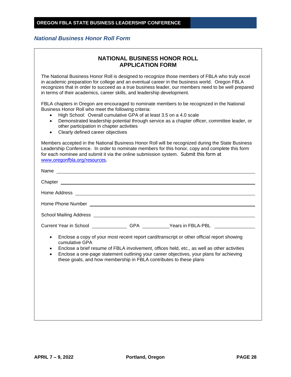### *National Business Honor Roll Form*

| <b>NATIONAL BUSINESS HONOR ROLL</b> |
|-------------------------------------|
| <b>APPLICATION FORM</b>             |

The National Business Honor Roll is designed to recognize those members of FBLA who truly excel in academic preparation for college and an eventual career in the business world. Oregon FBLA recognizes that in order to succeed as a true business leader, our members need to be well prepared in terms of their academics, career skills, and leadership development.

FBLA chapters in Oregon are encouraged to nominate members to be recognized in the National Business Honor Roll who meet the following criteria:

- High School: Overall cumulative GPA of at least 3.5 on a 4.0 scale
- Demonstrated leadership potential through service as a chapter officer, committee leader, or other participation in chapter activities
- Clearly defined career objectives

Members accepted in the National Business Honor Roll will be recognized during the State Business Leadership Conference. In order to nominate members for this honor, copy and complete this form for each nominee and submit it via the online submission system. Submit this form at [www.oregonfbla.org/resources.](http://www.oregonfbla.org/resources)

| Current Year in School Current Year in School | GPA Years in FBLA-PBL The Contract of the Magnus Separation of the Magnus Separation of the Magnus Separation o |
|-----------------------------------------------|-----------------------------------------------------------------------------------------------------------------|

- Enclose a copy of your most recent report card/transcript or other official report showing cumulative GPA
- Enclose a brief resume of FBLA involvement, offices held, etc., as well as other activities
- Enclose a one-page statement outlining your career objectives, your plans for achieving these goals, and how membership in FBLA contributes to these plans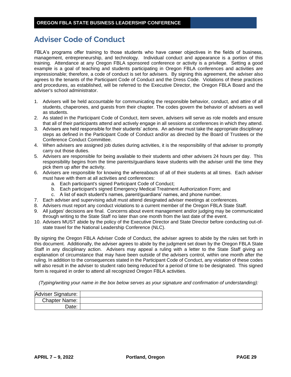# **Adviser Code of Conduct**

FBLA's programs offer training to those students who have career objectives in the fields of business, management, entrepreneurship, and technology. Individual conduct and appearance is a portion of this training. Attendance at any Oregon FBLA sponsored conference or activity is a privilege. Setting a good example is a goal of teaching and students participating in Oregon FBLA conferences and activities are impressionable; therefore, a code of conduct is set for advisers. By signing this agreement, the adviser also agrees to the tenants of the Participant Code of Conduct and the Dress Code. Violations of these practices and procedures, as established, will be referred to the Executive Director, the Oregon FBLA Board and the adviser's school administrator.

- 1. Advisers will be held accountable for communicating the responsible behavior, conduct, and attire of all students, chaperones, and guests from their chapter. The codes govern the behavior of advisers as well as students.
- 2. As stated in the Participant Code of Conduct, item seven, advisers will serve as role models and ensure that all of their participants attend and actively engage in all sessions at conferences in which they attend.
- 3. Advisers are held responsible for their students' actions. An adviser must take the appropriate disciplinary steps as defined in the Participant Code of Conduct and/or as directed by the Board of Trustees or the Conference Conduct Committee.
- 4. When advisers are assigned job duties during activities, it is the responsibility of that adviser to promptly carry out those duties.
- 5. Advisers are responsible for being available to their students and other advisers 24 hours per day. This responsibility begins from the time parents/guardians leave students with the adviser until the time they pick them up after the activity.
- 6. Advisers are responsible for knowing the whereabouts of all of their students at all times. Each adviser must have with them at all activities and conferences:
	- a. Each participant's signed Participant Code of Conduct;
	- b. Each participant's signed Emergency Medical Treatment Authorization Form; and
	- c. A list of each student's names, parent/guardians' names, and phone number.
- 7. Each adviser and supervising adult must attend designated adviser meetings at conferences.
- 8. Advisers must report any conduct violations to a current member of the Oregon FBLA State Staff.
- 9. All judges' decisions are final. Concerns about event management and/or judging may be communicated through writing to the State Staff no later than one month from the last date of the event.
- 10. Advisers MUST abide by the policy of the Executive Director and State Director before conducting out-ofstate travel for the National Leadership Conference (NLC).

By signing the Oregon FBLA Adviser Code of Conduct, the adviser agrees to abide by the rules set forth in this document. Additionally, the adviser agrees to abide by the judgment set down by the Oregon FBLA State Staff in any disciplinary action. Advisers may appeal a ruling with a letter to the State Staff giving an explanation of circumstance that may have been outside of the advisers control, within one month after the ruling. In addition to the consequences stated in the Participant Code of Conduct, any violation of these codes will also result in the adviser to student ratio being reduced for a period of time to be designated. This signed form is required in order to attend all recognized Oregon FBLA activities.

*(Typing/writing your name in the box below serves as your signature and confirmation of understanding):*

| Adviser Signature:   |  |
|----------------------|--|
| <b>Chapter Name:</b> |  |
| Jate:                |  |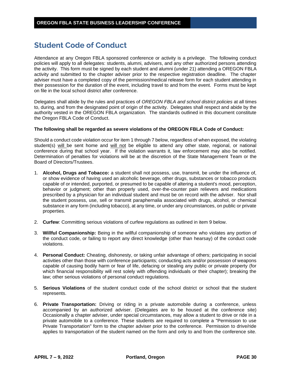# **Student Code of Conduct**

Attendance at any Oregon FBLA sponsored conference or activity is a privilege. The following conduct policies will apply to all delegates: students, alumni, advisers, and any other authorized persons attending the activity. This form must be signed by each student and alumni (under 21) attending a OREGON FBLA activity and submitted to the chapter adviser prior to the respective registration deadline. The chapter adviser must have a completed copy of the permission/medical release form for each student attending in their possession for the duration of the event, including travel to and from the event. Forms must be kept on file in the local school district after conference.

Delegates shall abide by the rules and practices of *OREGON FBLA and school district policies* at all times to, during, and from the designated point of origin of the activity. Delegates shall respect and abide by the authority vested in the OREGON FBLA organization. The standards outlined in this document constitute the Oregon FBLA Code of Conduct.

#### **The following shall be regarded as severe violations of the OREGON FBLA Code of Conduct:**

Should a conduct code violation occur for item 1 through 7 below, regardless of when exposed, the violating student(s) will be sent home and will not be eligible to attend any other state, regional, or national conference during that school year. If the violation warrants it, law enforcement may also be notified. Determination of penalties for violations will be at the discretion of the State Management Team or the Board of Directors/Trustees.

- 1. **Alcohol, Drugs and Tobacco:** a student shall not possess, use, transmit, be under the influence of, or show evidence of having used an alcoholic beverage, other drugs, substances or tobacco products capable of or intended, purported, or presumed to be capable of altering a student's mood, perception, behavior or judgment; other than properly used, over-the-counter pain relievers and medications prescribed by a physician for an individual student and must be on record with the adviser. Nor shall the student possess, use, sell or transmit paraphernalia associated with drugs, alcohol, or chemical substance in any form (including tobacco), at any time, or under any circumstances, on public or private properties.
- 2. **Curfew**: Committing serious violations of curfew regulations as outlined in item 9 below.
- 3. **Willful Companionship:** Being in the willful companionship of someone who violates any portion of the conduct code, or failing to report any direct knowledge (other than hearsay) of the conduct code violations.
- 4. **Personal Conduct:** Cheating, dishonesty, or taking unfair advantage of others; participating in social activities other than those with conference participants; conducting acts and/or possession of weapons capable of causing bodily harm or fear of life, defacing or stealing any public or private property (for which financial responsibility will rest solely with offending individuals or their chapter); breaking the law; other serious violations of personal conduct regulations.
- 5. **Serious Violations** of the student conduct code of the school district or school that the student represents.
- 6. **Private Transportation:** Driving or riding in a private automobile during a conference, unless accompanied by an authorized adviser. (Delegates are to be housed at the conference site) Occasionally a chapter adviser, under special circumstances, may allow a student to drive or ride in a private automobile to a conference. These students are required to complete a "Permission to use Private Transportation" form to the chapter adviser prior to the conference. Permission to drive/ride applies to transportation of the student named on the form and only to and from the conference site.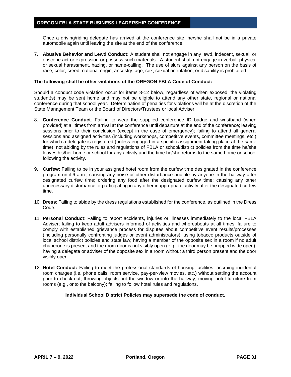Once a driving/riding delegate has arrived at the conference site, he/she shall not be in a private automobile again until leaving the site at the end of the conference.

7. **Abusive Behavior and Lewd Conduct:** A student shall not engage in any lewd, indecent, sexual, or obscene act or expression or possess such materials. A student shall not engage in verbal, physical or sexual harassment, hazing, or name-calling. The use of slurs against any person on the basis of race, color, creed, national origin, ancestry, age, sex, sexual orientation, or disability is prohibited.

#### **The following shall be other violations of the OREGON FBLA Code of Conduct:**

Should a conduct code violation occur for items 8-12 below, regardless of when exposed, the violating student(s) may be sent home and may not be eligible to attend any other state, regional or national conference during that school year. Determination of penalties for violations will be at the discretion of the State Management Team or the Board of Directors/Trustees or local Adviser.

- 8. **Conference Conduct**: Failing to wear the supplied conference ID badge and wristband (when provided) at all times from arrival at the conference until departure at the end of the conference; leaving sessions prior to their conclusion (except in the case of emergency); failing to attend all general sessions and assigned activities (including workshops, competitive events, committee meetings, etc.) for which a delegate is registered (unless engaged in a specific assignment taking place at the same time); not abiding by the rules and regulations of FBLA or school/district policies from the time he/she leaves his/her home or school for any activity and the time he/she returns to the same home or school following the activity.
- 9. **Curfew**: Failing to be in your assigned hotel room from the curfew time designated in the conference program until 6 a.m.; causing any noise or other disturbance audible by anyone in the hallway after designated curfew time; ordering any food after the designated curfew time; causing any other unnecessary disturbance or participating in any other inappropriate activity after the designated curfew time.
- 10. **Dress**: Failing to abide by the dress regulations established for the conference, as outlined in the Dress Code.
- 11. **Personal Conduct**: Failing to report accidents, injuries or illnesses immediately to the local FBLA Adviser; failing to keep adult advisers informed of activities and whereabouts at all times; failure to comply with established grievance process for disputes about competitive event results/processes (including personally confronting judges or event administrators); using tobacco products outside of local school district policies and state law; having a member of the opposite sex in a room if no adult chaperone is present and the room door is not visibly open (e.g.. the door may be propped wide open); having a delegate or adviser of the opposite sex in a room without a third person present and the door visibly open.
- 12. **Hotel Conduct:** Failing to meet the professional standards of housing facilities; accruing incidental room charges (i.e. phone calls, room service, pay-per-view movies, etc.) without settling the account prior to check-out; throwing objects out the window or into the hallway; moving hotel furniture from rooms (e.g., onto the balcony); failing to follow hotel rules and regulations.

#### **Individual School District Policies may supersede the code of conduct.**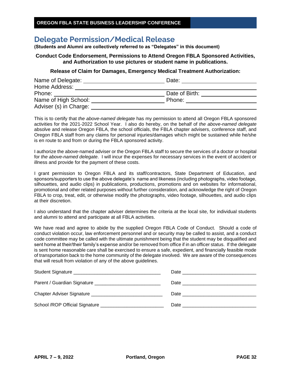# **Delegate Permission/Medical Release**

**(Students and Alumni are collectively referred to as "Delegates" in this document)**

### **Conduct Code Endorsement, Permissions to Attend Oregon FBLA Sponsored Activities, and Authorization to use pictures or student name in publications.**

### **Release of Claim for Damages, Emergency Medical Treatment Authorization:**

| Name of Delegate:      | Date:          |  |
|------------------------|----------------|--|
| Home Address:          |                |  |
| Phone:                 | Date of Birth: |  |
| Name of High School:   | Phone:         |  |
| Adviser (s) in Charge: |                |  |

This is to certify that *the above-named delegate* has my permission to attend all Oregon FBLA sponsored activities for the 2021-2022 School Year. I also do hereby, on the behalf of *the above-named delegate* absolve and release Oregon FBLA, the school officials, the FBLA chapter advisers, conference staff, and Oregon FBLA staff from any claims for personal injuries/damages which might be sustained while he/she is en route to and from or during the FBLA sponsored activity.

I authorize the above-named adviser or the Oregon FBLA staff to secure the services of a doctor or hospital for *the above-named delegate*. I will incur the expenses for necessary services in the event of accident or illness and provide for the payment of these costs.

I grant permission to Oregon FBLA and its staff/contractors, State Department of Education, and sponsors/supporters to use the above delegate's name and likeness (including photographs, video footage, silhouettes, and audio clips) in publications, productions, promotions and on websites for informational, promotional and other related purposes without further consideration, and acknowledge the right of Oregon FBLA to crop, treat, edit, or otherwise modify the photographs, video footage, silhouettes, and audio clips at their discretion.

I also understand that the chapter adviser determines the criteria at the local site, for individual students and alumni to attend and participate at all FBLA activities.

We have read and agree to abide by the supplied Oregon FBLA Code of Conduct. Should a code of conduct violation occur, law enforcement personnel and or security may be called to assist, and a conduct code committee may be called with the ultimate punishment being that the student may be disqualified and sent home at their/their family's expense and/or be removed from office if in an officer status. If the delegate is sent home reasonable care shall be exercised to ensure a safe, expedient, and financially feasible mode of transportation back to the home community of the delegate involved. We are aware of the consequences that will result from violation of any of the above guidelines.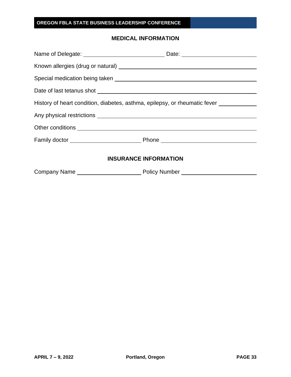## **MEDICAL INFORMATION**

| History of heart condition, diabetes, asthma, epilepsy, or rheumatic fever ____________ |
|-----------------------------------------------------------------------------------------|
|                                                                                         |
|                                                                                         |
|                                                                                         |
| <b>INSURANCE INFORMATION</b>                                                            |
|                                                                                         |